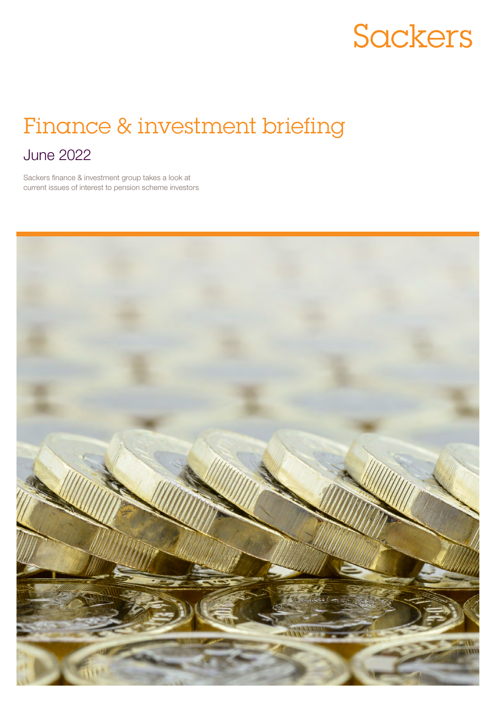## Sackers

## Finance & investment briefing

### June 2022

Sackers finance & investment group takes a look at current issues of interest to pension scheme investors

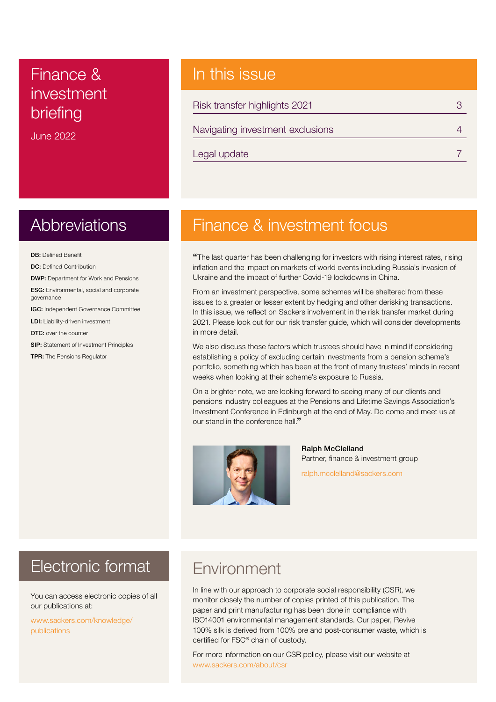## investment briefing

June 2022

#### Finance & **In this issue**

| Risk transfer highlights 2021    |  |
|----------------------------------|--|
| Navigating investment exclusions |  |
| Legal update                     |  |

## **Abbreviations**

DB: Defined Benefit

DC: Defined Contribution

DWP: Department for Work and Pensions

ESG: Environmental, social and corporate governance

IGC: Independent Governance Committee

LDI: Liability-driven investment

OTC: over the counter

SIP: Statement of Investment Principles

TPR: The Pensions Regulator

## Finance & investment focus

"The last quarter has been challenging for investors with rising interest rates, rising inflation and the impact on markets of world events including Russia's invasion of Ukraine and the impact of further Covid-19 lockdowns in China.

From an investment perspective, some schemes will be sheltered from these issues to a greater or lesser extent by hedging and other derisking transactions. In this issue, we reflect on Sackers involvement in the risk transfer market during 2021. Please look out for our risk transfer guide, which will consider developments in more detail.

We also discuss those factors which trustees should have in mind if considering establishing a policy of excluding certain investments from a pension scheme's portfolio, something which has been at the front of many trustees' minds in recent weeks when looking at their scheme's exposure to Russia.

On a brighter note, we are looking forward to seeing many of our clients and pensions industry colleagues at the Pensions and Lifetime Savings Association's Investment Conference in Edinburgh at the end of May. Do come and meet us at our stand in the conference hall."



Ralph McClelland Partner, finance & investment group

[ralph.mcclelland@sackers.com](mailto:ralph.mcclelland%40sackers.com?subject=)

## Electronic format

You can access electronic copies of all our publications at:

[www.sackers.com/knowledge/](http://www.sackers.com/knowledge/publications) [publications](http://www.sackers.com/knowledge/publications)

## Environment

In line with our approach to corporate social responsibility (CSR), we monitor closely the number of copies printed of this publication. The paper and print manufacturing has been done in compliance with ISO14001 environmental management standards. Our paper, Revive 100% silk is derived from 100% pre and post-consumer waste, which is certified for FSC® chain of custody.

For more information on our CSR policy, please visit our website at [www.sackers.com/about/csr](http://www.sackers.com/about/csr)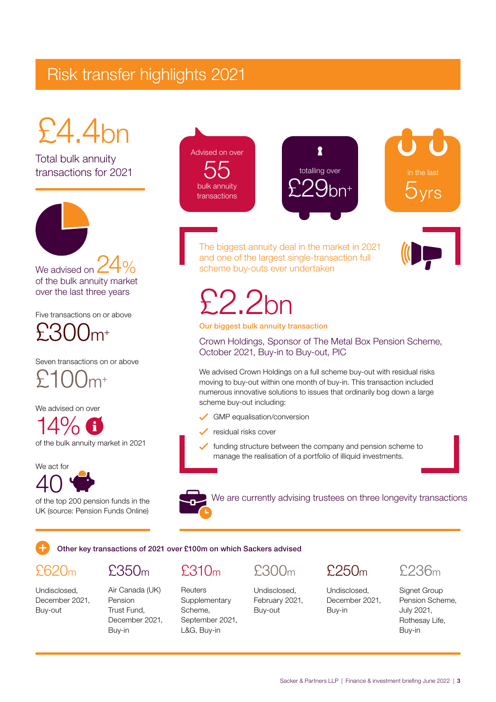## Risk transfer highlights 2021

# £4.4bn

Total bulk annuity transactions for 2021

of the bulk annuity market over the last three years

Five transactions on or above

 $f$  30  $(m<sup>+</sup>)$ 

Seven transactions on or above £100m+

We advised on over

14% H of the bulk annuity market in 2021

We act for



of the top 200 pension funds in the UK (source: Pension Funds Online)

Other key transactions of 2021 over £100m on which Sackers advised

#### £620m

Undisclosed, December 2021, Buy-out



Air Canada (UK) Pension Trust Fund, December 2021, Buy-in

### $f310<sub>m</sub>$

**Reuters** Supplementary Scheme, September 2021, L&G, Buy-in

Undisclosed, February 2021,

Buy-out

£300m

## $$250<sub>m</sub>$

Undisclosed, December 2021, Buy-in



Signet Group Pension Scheme, July 2021, Rothesay Life, Buy-in



The biggest annuity deal in the market in 2021 and one of the largest single-transaction full We advised on  $Z + \%$  scheme buy-outs ever undertaken



£2.2bn

#### Our biggest bulk annuity transaction

Crown Holdings, Sponsor of The Metal Box Pension Scheme, October 2021, Buy-in to Buy-out, PIC

We advised Crown Holdings on a full scheme buy-out with residual risks moving to buy-out within one month of buy-in. This transaction included numerous innovative solutions to issues that ordinarily bog down a large scheme buy-out including:

- GMP equalisation/conversion
	- residual risks cover
	- funding structure between the company and pension scheme to manage the realisation of a portfolio of illiquid investments.

We are currently advising trustees on three longevity transactions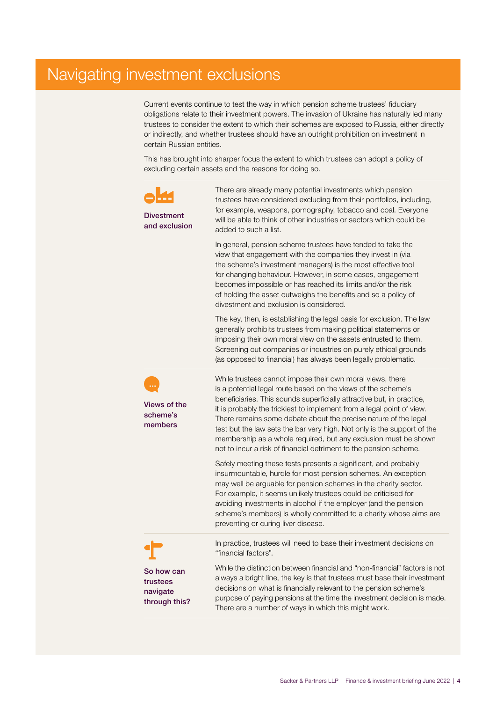### Navigating investment exclusions

Current events continue to test the way in which pension scheme trustees' fiduciary obligations relate to their investment powers. The invasion of Ukraine has naturally led many trustees to consider the extent to which their schemes are exposed to Russia, either directly or indirectly, and whether trustees should have an outright prohibition on investment in certain Russian entities.

This has brought into sharper focus the extent to which trustees can adopt a policy of excluding certain assets and the reasons for doing so.

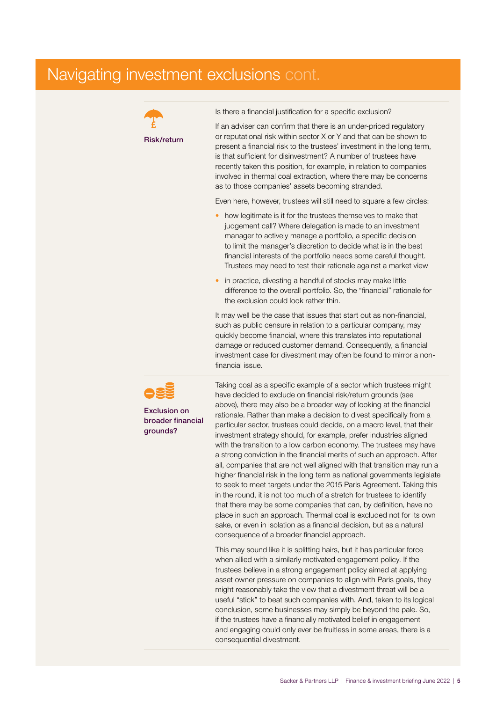#### Navigating investment exclusions cont.



Is there a financial justification for a specific exclusion?

If an adviser can confirm that there is an under-priced regulatory or reputational risk within sector X or Y and that can be shown to present a financial risk to the trustees' investment in the long term, is that sufficient for disinvestment? A number of trustees have recently taken this position, for example, in relation to companies involved in thermal coal extraction, where there may be concerns as to those companies' assets becoming stranded.

Even here, however, trustees will still need to square a few circles:

- how legitimate is it for the trustees themselves to make that judgement call? Where delegation is made to an investment manager to actively manage a portfolio, a specific decision to limit the manager's discretion to decide what is in the best financial interests of the portfolio needs some careful thought. Trustees may need to test their rationale against a market view
- in practice, divesting a handful of stocks may make little difference to the overall portfolio. So, the "financial" rationale for the exclusion could look rather thin.

It may well be the case that issues that start out as non-financial, such as public censure in relation to a particular company, may quickly become financial, where this translates into reputational damage or reduced customer demand. Consequently, a financial investment case for divestment may often be found to mirror a nonfinancial issue.



Exclusion on broader financial grounds?

Taking coal as a specific example of a sector which trustees might have decided to exclude on financial risk/return grounds (see above), there may also be a broader way of looking at the financial rationale. Rather than make a decision to divest specifically from a particular sector, trustees could decide, on a macro level, that their investment strategy should, for example, prefer industries aligned with the transition to a low carbon economy. The trustees may have a strong conviction in the financial merits of such an approach. After all, companies that are not well aligned with that transition may run a higher financial risk in the long term as national governments legislate to seek to meet targets under the 2015 Paris Agreement. Taking this in the round, it is not too much of a stretch for trustees to identify that there may be some companies that can, by definition, have no place in such an approach. Thermal coal is excluded not for its own sake, or even in isolation as a financial decision, but as a natural consequence of a broader financial approach.

This may sound like it is splitting hairs, but it has particular force when allied with a similarly motivated engagement policy. If the trustees believe in a strong engagement policy aimed at applying asset owner pressure on companies to align with Paris goals, they might reasonably take the view that a divestment threat will be a useful "stick" to beat such companies with. And, taken to its logical conclusion, some businesses may simply be beyond the pale. So, if the trustees have a financially motivated belief in engagement and engaging could only ever be fruitless in some areas, there is a consequential divestment.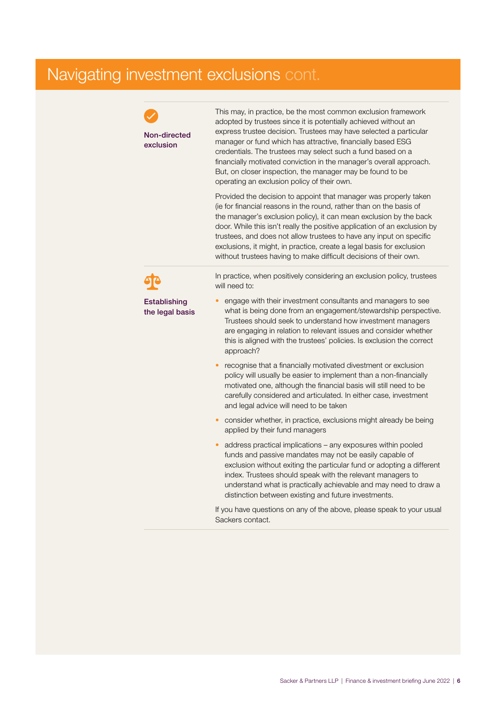#### Navigating investment exclusions cont.



This may, in practice, be the most common exclusion framework adopted by trustees since it is potentially achieved without an express trustee decision. Trustees may have selected a particular manager or fund which has attractive, financially based ESG credentials. The trustees may select such a fund based on a financially motivated conviction in the manager's overall approach. But, on closer inspection, the manager may be found to be operating an exclusion policy of their own.

Provided the decision to appoint that manager was properly taken (ie for financial reasons in the round, rather than on the basis of the manager's exclusion policy), it can mean exclusion by the back door. While this isn't really the positive application of an exclusion by trustees, and does not allow trustees to have any input on specific exclusions, it might, in practice, create a legal basis for exclusion without trustees having to make difficult decisions of their own.



Establishing the legal basis In practice, when positively considering an exclusion policy, trustees will need to:

- engage with their investment consultants and managers to see what is being done from an engagement/stewardship perspective. Trustees should seek to understand how investment managers are engaging in relation to relevant issues and consider whether this is aligned with the trustees' policies. Is exclusion the correct approach?
- recognise that a financially motivated divestment or exclusion policy will usually be easier to implement than a non-financially motivated one, although the financial basis will still need to be carefully considered and articulated. In either case, investment and legal advice will need to be taken
- consider whether, in practice, exclusions might already be being applied by their fund managers
- address practical implications any exposures within pooled funds and passive mandates may not be easily capable of exclusion without exiting the particular fund or adopting a different index. Trustees should speak with the relevant managers to understand what is practically achievable and may need to draw a distinction between existing and future investments.

If you have questions on any of the above, please speak to your usual Sackers contact.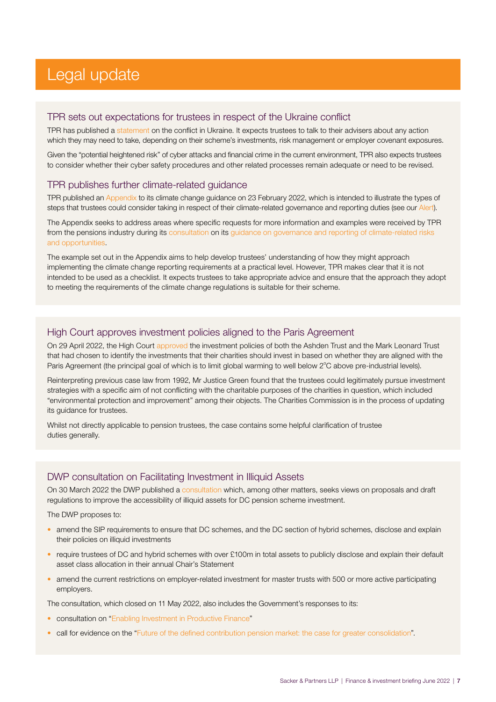## Legal update

#### TPR sets out expectations for trustees in respect of the Ukraine conflict

TPR has published a [statement](https://www.thepensionsregulator.gov.uk/en/trustees/russia-ukraine-conflict) on the conflict in Ukraine. It expects trustees to talk to their advisers about any action which they may need to take, depending on their scheme's investments, risk management or employer covenant exposures.

Given the "potential heightened risk" of cyber attacks and financial crime in the current environment, TPR also expects trustees to consider whether their cyber safety procedures and other related processes remain adequate or need to be revised.

#### TPR publishes further climate-related guidance

TPR published an [Appendix](https://www.thepensionsregulator.gov.uk/en/document-library/scheme-management-detailed-guidance/funding-and-investment-detailed-guidance/climate-related-governance-and-reporting/appendix-a-step-by-step-example) to its climate change guidance on 23 February 2022, which is intended to illustrate the types of steps that trustees could consider taking in respect of their climate-related governance and reporting duties (see our [Alert\)](https://www.sackers.com/publication/key-changes-in-force-from-1-october/#link2).

The Appendix seeks to address areas where specific requests for more information and examples were received by TPR from the pensions industry during its [consultation](https://www.thepensionsregulator.gov.uk/en/document-library/consultations/climate-change-guidance) on its guidance on governance and reporting of climate-related risks [and opportunities](https://www.thepensionsregulator.gov.uk/en/document-library/scheme-management-detailed-guidance/funding-and-investment-detailed-guidance/climate-related-governance-and-reporting).

The example set out in the Appendix aims to help develop trustees' understanding of how they might approach implementing the climate change reporting requirements at a practical level. However, TPR makes clear that it is not intended to be used as a checklist. It expects trustees to take appropriate advice and ensure that the approach they adopt to meeting the requirements of the climate change regulations is suitable for their scheme.

#### High Court approves investment policies aligned to the Paris Agreement

On 29 April 2022, the High Court [approved](https://www.bailii.org/ew/cases/EWHC/Ch/2022/974.html) the investment policies of both the Ashden Trust and the Mark Leonard Trust that had chosen to identify the investments that their charities should invest in based on whether they are aligned with the Paris Agreement (the principal goal of which is to limit global warming to well below 2°C above pre-industrial levels).

Reinterpreting previous case law from 1992, Mr Justice Green found that the trustees could legitimately pursue investment strategies with a specific aim of not conflicting with the charitable purposes of the charities in question, which included "environmental protection and improvement" among their objects. The Charities Commission is in the process of updating its guidance for trustees.

Whilst not directly applicable to pension trustees, the case contains some helpful clarification of trustee duties generally.

#### DWP consultation on Facilitating Investment in Illiquid Assets

On 30 March 2022 the DWP published a [consultation](https://www.gov.uk/government/consultations/facilitating-investment-in-illiquid-assets-by-defined-contribution-pension-schemes) which, among other matters, seeks views on proposals and draft regulations to improve the accessibility of illiquid assets for DC pension scheme investment.

The DWP proposes to:

- amend the SIP requirements to ensure that DC schemes, and the DC section of hybrid schemes, disclose and explain their policies on illiquid investments
- require trustees of DC and hybrid schemes with over £100m in total assets to publicly disclose and explain their default asset class allocation in their annual Chair's Statement
- amend the current restrictions on employer-related investment for master trusts with 500 or more active participating employers.

The consultation, which closed on 11 May 2022, also includes the Government's responses to its:

- consultation on "[Enabling Investment in Productive Finance"](https://www.gov.uk/government/consultations/enabling-investment-in-productive-finance/consultation-on-enabling-investment-in-productive-finance)
- call for evidence on the "[Future of the defined contribution pension market: the case for greater consolidation](https://www.gov.uk/government/consultations/future-of-the-defined-contribution-pension-market-the-case-for-greater-consolidation/future-of-the-defined-contribution-pension-market-the-case-for-greater-consolidation)".